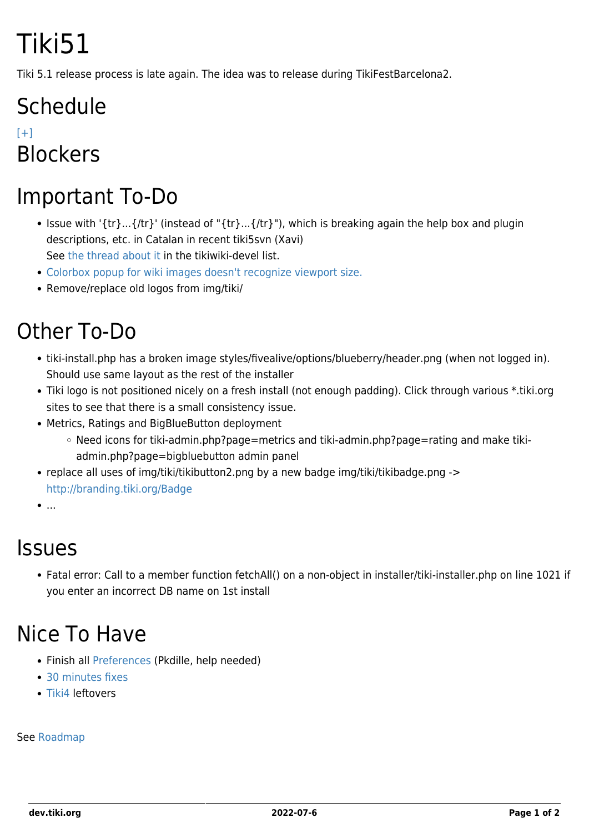# Tiki51

Tiki 5.1 release process is late again. The idea was to release during TikiFestBarcelona2.

## **Schedule**

 $[+]$ **Blockers** 

### Important To-Do

- Issue with '{tr}...{/tr}' (instead of "{tr}...{/tr}"), which is breaking again the help box and plugin descriptions, etc. in Catalan in recent tiki5svn (Xavi) See [the thread about it](http://comments.gmane.org/gmane.comp.cms.tiki.devel/16838) in the tikiwiki-devel list.
- [Colorbox popup for wiki images doesn't recognize viewport size.](https://dev.tiki.org/tiki-view_tracker_item.php?itemId=3499)
- Remove/replace old logos from img/tiki/

### Other To-Do

- tiki-install.php has a broken image styles/fivealive/options/blueberry/header.png (when not logged in). Should use same layout as the rest of the installer
- Tiki logo is not positioned nicely on a fresh install (not enough padding). Click through various \*.tiki.org sites to see that there is a small consistency issue.
- Metrics, Ratings and BigBlueButton deployment
	- Need icons for tiki-admin.php?page=metrics and tiki-admin.php?page=rating and make tikiadmin.php?page=bigbluebutton admin panel
- replace all uses of img/tiki/tikibutton2.png by a new badge img/tiki/tikibadge.png -> <http://branding.tiki.org/Badge>
- $\bullet$ ...

#### Issues

Fatal error: Call to a member function fetchAll() on a non-object in installer/tiki-installer.php on line 1021 if you enter an incorrect DB name on 1st install

#### Nice To Have

- Finish all [Preferences](https://dev.tiki.org/Preferences) (Pkdille, help needed)
- [30 minutes fixes](https://dev.tiki.org/30-minutes-fixes)
- [Tiki4](https://dev.tiki.org/Tiki4) leftovers

#### See [Roadmap](https://dev.tiki.org/RoadMap)